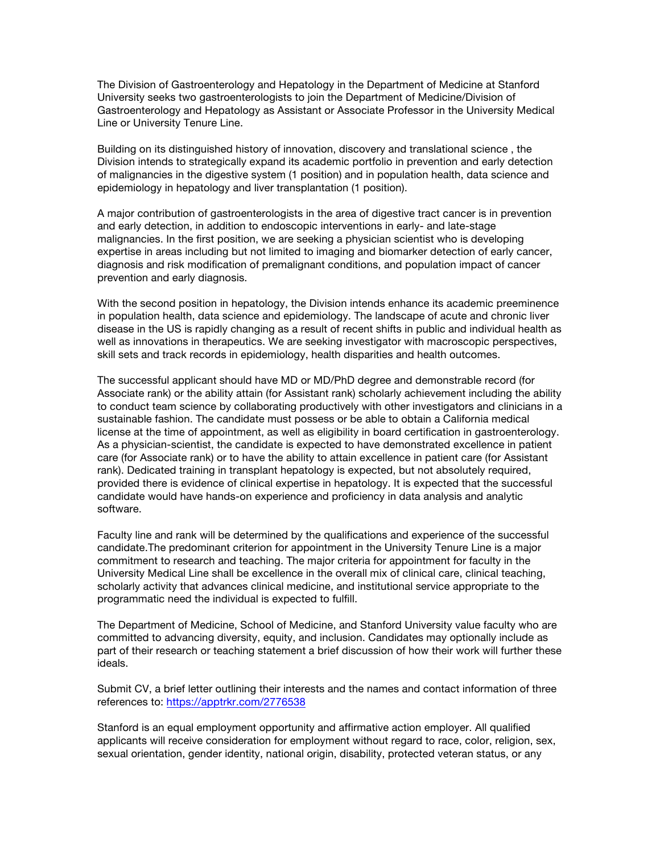The Division of Gastroenterology and Hepatology in the Department of Medicine at Stanford University seeks two gastroenterologists to join the Department of Medicine/Division of Gastroenterology and Hepatology as Assistant or Associate Professor in the University Medical Line or University Tenure Line.

Building on its distinguished history of innovation, discovery and translational science , the Division intends to strategically expand its academic portfolio in prevention and early detection of malignancies in the digestive system (1 position) and in population health, data science and epidemiology in hepatology and liver transplantation (1 position).

A major contribution of gastroenterologists in the area of digestive tract cancer is in prevention and early detection, in addition to endoscopic interventions in early- and late-stage malignancies. In the first position, we are seeking a physician scientist who is developing expertise in areas including but not limited to imaging and biomarker detection of early cancer, diagnosis and risk modification of premalignant conditions, and population impact of cancer prevention and early diagnosis.

With the second position in hepatology, the Division intends enhance its academic preeminence in population health, data science and epidemiology. The landscape of acute and chronic liver disease in the US is rapidly changing as a result of recent shifts in public and individual health as well as innovations in therapeutics. We are seeking investigator with macroscopic perspectives, skill sets and track records in epidemiology, health disparities and health outcomes.

The successful applicant should have MD or MD/PhD degree and demonstrable record (for Associate rank) or the ability attain (for Assistant rank) scholarly achievement including the ability to conduct team science by collaborating productively with other investigators and clinicians in a sustainable fashion. The candidate must possess or be able to obtain a California medical license at the time of appointment, as well as eligibility in board certification in gastroenterology. As a physician-scientist, the candidate is expected to have demonstrated excellence in patient care (for Associate rank) or to have the ability to attain excellence in patient care (for Assistant rank). Dedicated training in transplant hepatology is expected, but not absolutely required, provided there is evidence of clinical expertise in hepatology. It is expected that the successful candidate would have hands-on experience and proficiency in data analysis and analytic software.

Faculty line and rank will be determined by the qualifications and experience of the successful candidate.The predominant criterion for appointment in the University Tenure Line is a major commitment to research and teaching. The major criteria for appointment for faculty in the University Medical Line shall be excellence in the overall mix of clinical care, clinical teaching, scholarly activity that advances clinical medicine, and institutional service appropriate to the programmatic need the individual is expected to fulfill.

The Department of Medicine, School of Medicine, and Stanford University value faculty who are committed to advancing diversity, equity, and inclusion. Candidates may optionally include as part of their research or teaching statement a brief discussion of how their work will further these ideals.

Submit CV, a brief letter outlining their interests and the names and contact information of three references to: https://apptrkr.com/2776538

Stanford is an equal employment opportunity and affirmative action employer. All qualified applicants will receive consideration for employment without regard to race, color, religion, sex, sexual orientation, gender identity, national origin, disability, protected veteran status, or any